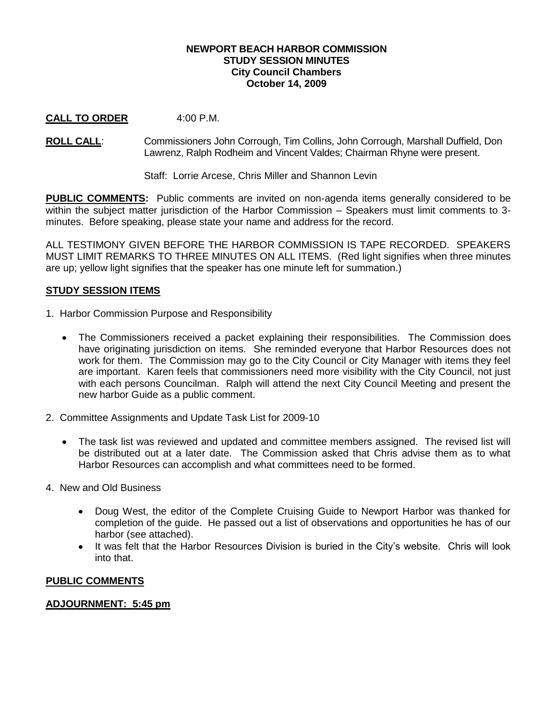## **NEWPORT BEACH HARBOR COMMISSION STUDY SESSION MINUTES City Council Chambers October 14, 2009**

# **CALL TO ORDER** 4:00 P.M.

**ROLL CALL**: Commissioners John Corrough, Tim Collins, John Corrough, Marshall Duffield, Don Lawrenz, Ralph Rodheim and Vincent Valdes; Chairman Rhyne were present.

Staff: Lorrie Arcese, Chris Miller and Shannon Levin

**PUBLIC COMMENTS:** Public comments are invited on non-agenda items generally considered to be within the subject matter jurisdiction of the Harbor Commission – Speakers must limit comments to 3minutes. Before speaking, please state your name and address for the record.

ALL TESTIMONY GIVEN BEFORE THE HARBOR COMMISSION IS TAPE RECORDED. SPEAKERS MUST LIMIT REMARKS TO THREE MINUTES ON ALL ITEMS. (Red light signifies when three minutes are up; yellow light signifies that the speaker has one minute left for summation.)

# **STUDY SESSION ITEMS**

- 1. Harbor Commission Purpose and Responsibility
	- The Commissioners received a packet explaining their responsibilities. The Commission does have originating jurisdiction on items. She reminded everyone that Harbor Resources does not work for them. The Commission may go to the City Council or City Manager with items they feel are important. Karen feels that commissioners need more visibility with the City Council, not just with each persons Councilman. Ralph will attend the next City Council Meeting and present the new harbor Guide as a public comment.
- 2. Committee Assignments and Update Task List for 2009-10
	- $\bullet$ The task list was reviewed and updated and committee members assigned. The revised list will be distributed out at a later date. The Commission asked that Chris advise them as to what Harbor Resources can accomplish and what committees need to be formed.
- 4. New and Old Business
	- Doug West, the editor of the Complete Cruising Guide to Newport Harbor was thanked for  $\bullet$ completion of the guide. He passed out a list of observations and opportunities he has of our harbor (see attached).
	- It was felt that the Harbor Resources Division is buried in the City's website. Chris will look  $\bullet$ into that.

### **PUBLIC COMMENTS**

### **ADJOURNMENT: 5:45 pm**